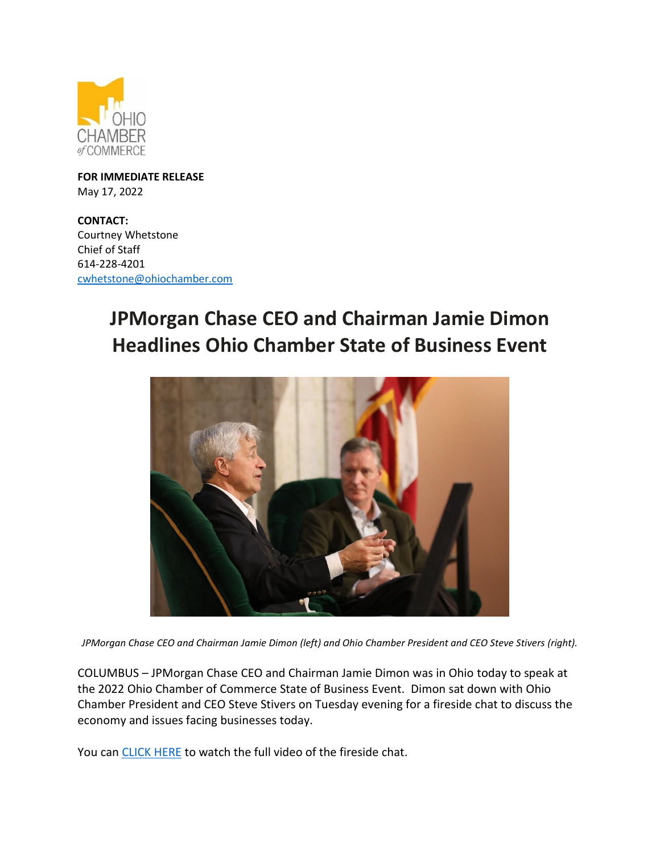

**FOR IMMEDIATE RELEASE** May 17, 2022

**CONTACT:**  Courtney Whetstone Chief of Staff 614-228-4201 [cwhetstone@ohiochamber.com](mailto:cwhetstone@ohiochamber.com)

## **JPMorgan Chase CEO and Chairman Jamie Dimon Headlines Ohio Chamber State of Business Event**



*JPMorgan Chase CEO and Chairman Jamie Dimon (left) and Ohio Chamber President and CEO Steve Stivers (right).*

COLUMBUS – JPMorgan Chase CEO and Chairman Jamie Dimon was in Ohio today to speak at the 2022 Ohio Chamber of Commerce State of Business Event. Dimon sat down with Ohio Chamber President and CEO Steve Stivers on Tuesday evening for a fireside chat to discuss the economy and issues facing businesses today.

You can [CLICK HERE](https://www.facebook.com/OhioChamber/videos/525986632411252) to watch the full video of the fireside chat.